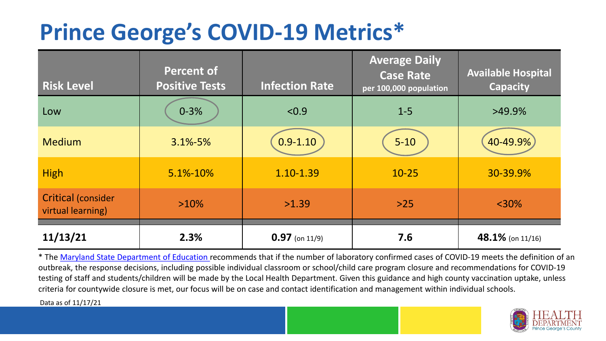## **Prince George's COVID-19 Metrics\***

| <b>Risk Level</b>                              | <b>Percent of</b><br><b>Positive Tests</b> | <b>Infection Rate</b> | <b>Average Daily</b><br><b>Case Rate</b><br>per 100,000 population | <b>Available Hospital</b><br><b>Capacity</b> |
|------------------------------------------------|--------------------------------------------|-----------------------|--------------------------------------------------------------------|----------------------------------------------|
| Low                                            | $0 - 3%$                                   | < 0.9                 | $1 - 5$                                                            | $>49.9\%$                                    |
| <b>Medium</b>                                  | $3.1\% - 5\%$                              | $0.9 - 1.10$          | $5 - 10$                                                           | 40-49.9%                                     |
| <b>High</b>                                    | 5.1%-10%                                   | 1.10-1.39             | $10 - 25$                                                          | 30-39.9%                                     |
| <b>Critical (consider</b><br>virtual learning) | $>10\%$                                    | >1.39                 | $>25$                                                              | $<$ 30%                                      |
| 11/13/21                                       | 2.3%                                       | $0.97$ (on 11/9)      | 7.6                                                                | 48.1% (on 11/16)                             |

\* The [Maryland State Department of Education r](https://earlychildhood.marylandpublicschools.org/system/files/filedepot/3/covid_guidance_full_080420.pdf)ecommends that if the number of laboratory confirmed cases of COVID-19 meets the definition of an outbreak, the response decisions, including possible individual classroom or school/child care program closure and recommendations for COVID-19 testing of staff and students/children will be made by the Local Health Department. Given this guidance and high county vaccination uptake, unless criteria for countywide closure is met, our focus will be on case and contact identification and management within individual schools.

Data as of 11/17/21

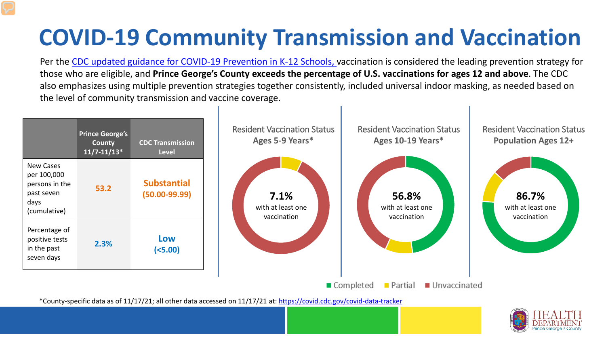# **COVID-19 Community Transmission and Vaccination**

Per the [CDC updated guidance for COVID-19 Prevention in K-12 Schools,](https://www.cdc.gov/coronavirus/2019-ncov/community/schools-childcare/k-12-guidance.html) vaccination is considered the leading prevention strategy for those who are eligible, and **Prince George's County exceeds the percentage of U.S. vaccinations for ages 12 and above**. The CDC also emphasizes using multiple prevention strategies together consistently, included universal indoor masking, as needed based on the level of community transmission and vaccine coverage.



\*County-specific data as of 11/17/21; all other data accessed on 11/17/21 at:<https://covid.cdc.gov/covid-data-tracker>

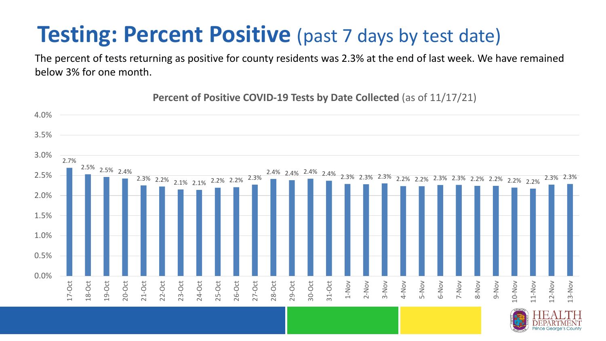### **Testing: Percent Positive** (past 7 days by test date)

The percent of tests returning as positive for county residents was 2.3% at the end of last week. We have remained below 3% for one month.

2.7% 2.5% 2.5% 2.4% 2.3% 2.2% 2.1% 2.1% 2.2% 2.2% 2.3% 2.4% 2.4% 2.4% 2.4% 2.3% 2.3% 2.3% 2.2% 2.2% 2.3% 2.3% 2.2% 2.2% 2.2% 2.2% 2.3% 2.3% 0.0% 0.5% 1.0% 1.5% 2.0% 2.5% 3.0% 3.5% 4.0% 17-Oct 18-Oct 19-Oct 20-Oct 21-Oct 22-Oct 23-Oct 24-Oct 25-Oct 26-Oct 27-Oct 28-Oct 29-Oct 30-Oct 31-Oct 1-Nov 2-Nov 3-Nov 4-Nov 5-Nov 6-Nov 7-Nov 8-Nov 9-Nov 10-Nov 11-Nov 12-Nov 13-Nov

**Percent of Positive COVID-19 Tests by Date Collected** (as of 11/17/21)

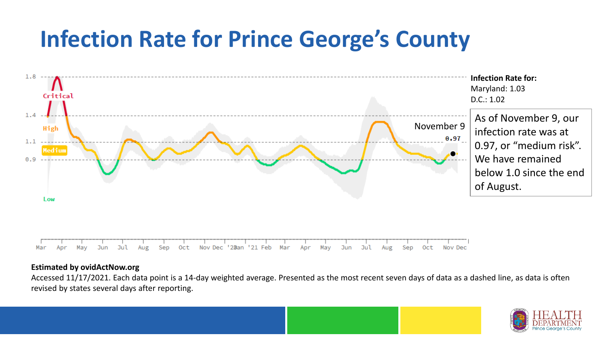## **Infection Rate for Prince George's County**



#### **Estimated by ovidActNow.org**

Accessed 11/17/2021. Each data point is a 14-day weighted average. Presented as the most recent seven days of data as a dashed line, as data is often revised by states several days after reporting.

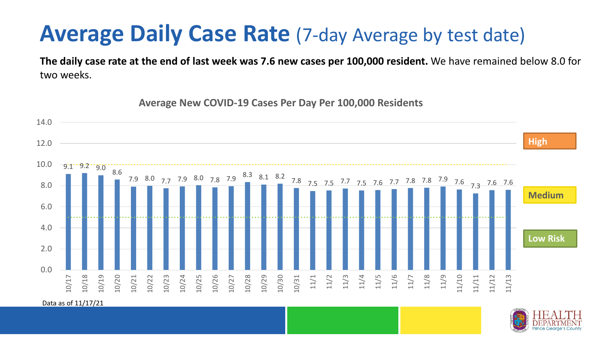#### **Average Daily Case Rate** (7-day Average by test date)

**The daily case rate at the end of last week was 7.6 new cases per 100,000 resident.** We have remained below 8.0 for two weeks.

 $9.1 \cdot 9.2 \cdot 9.0 \cdot 8.6$ 7.9 8.0 7.7 7.9 8.0 7.8 7.9 <sup>8.3</sup> 8.1 8.2 7.8 7.5 7.7 7.5 7.6 7.7 7.8 7.8 7.9 7.6 7.3 7.6 7.6 0.0 2.0 4.0 6.0 8.0 10.0 12.0 14.0 10/17 10/18 10/19 10/20 10/21 10/22 10/23 10/24 10/25 10/26 10/27 10/28 10/29 10/30 10/31 11/1 11/2 11/3 11/4 11/5 11/6 11/7 11/8 11/9 11/10 11/11 11/12 11/13 **Low Risk Medium High**

**Average New COVID-19 Cases Per Day Per 100,000 Residents**

Data as of 11/17/21